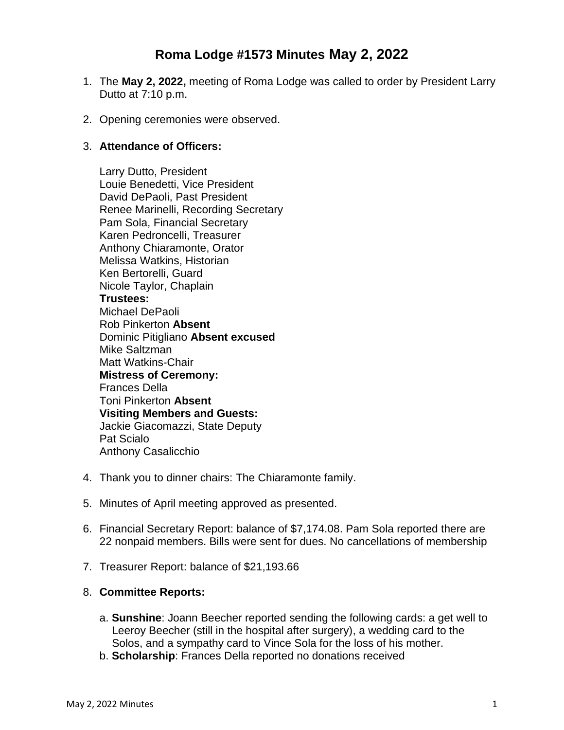# **Roma Lodge #1573 Minutes May 2, 2022**

- 1. The **May 2, 2022,** meeting of Roma Lodge was called to order by President Larry Dutto at 7:10 p.m.
- 2. Opening ceremonies were observed.

#### 3. **Attendance of Officers:**

Larry Dutto, President Louie Benedetti, Vice President David DePaoli, Past President Renee Marinelli, Recording Secretary Pam Sola, Financial Secretary Karen Pedroncelli, Treasurer Anthony Chiaramonte, Orator Melissa Watkins, Historian Ken Bertorelli, Guard Nicole Taylor, Chaplain **Trustees:** Michael DePaoli Rob Pinkerton **Absent** Dominic Pitigliano **Absent excused** Mike Saltzman Matt Watkins-Chair **Mistress of Ceremony:** Frances Della Toni Pinkerton **Absent Visiting Members and Guests:** Jackie Giacomazzi, State Deputy Pat Scialo Anthony Casalicchio

- 4. Thank you to dinner chairs: The Chiaramonte family.
- 5. Minutes of April meeting approved as presented.
- 6. Financial Secretary Report: balance of \$7,174.08. Pam Sola reported there are 22 nonpaid members. Bills were sent for dues. No cancellations of membership
- 7. Treasurer Report: balance of \$21,193.66

# 8. **Committee Reports:**

- a. **Sunshine**: Joann Beecher reported sending the following cards: a get well to Leeroy Beecher (still in the hospital after surgery), a wedding card to the Solos, and a sympathy card to Vince Sola for the loss of his mother.
- b. **Scholarship**: Frances Della reported no donations received